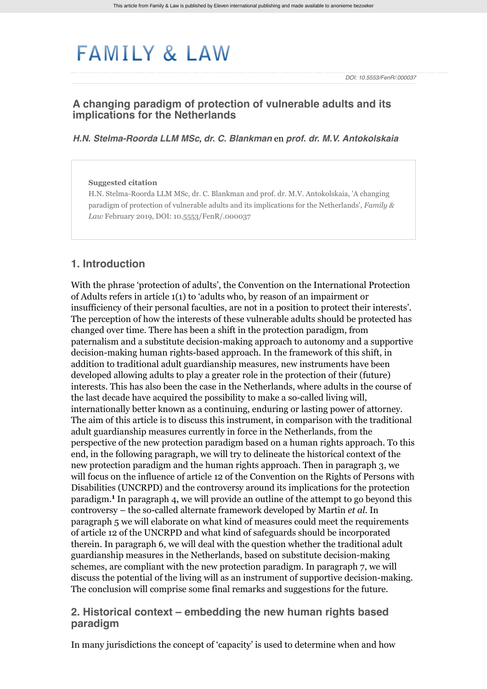# **FAMILY & LAW**

*DOI: 10.5553/FenR/.000037*

# **A changing paradigm of protection of vulnerable adults and its implications for the Netherlands**

#### *[H.N. Stelma-Roorda LLM MSc](http://www.familyandlaw.eu/zoek?search_category=&search_journal_code=&search_kind=author&search_text=Stelma-Roorda&search_year=)*, *[dr. C. Blankman](http://www.familyandlaw.eu/zoek?search_category=&search_journal_code=&search_kind=author&search_text=Blankman&search_year=)* en *[prof. dr. M.V. Antokolskaia](http://www.familyandlaw.eu/zoek?search_category=&search_journal_code=&search_kind=author&search_text=Antokolskaia&search_year=)*

#### **Suggested citation**

H.N. Stelma-Roorda LLM MSc, dr. C. Blankman and prof. dr. M.V. Antokolskaia, 'A changing paradigm of protection of vulnerable adults and its implications for the Netherlands', *Family & Law* February 2019, DOI: 10.5553/FenR/.000037

#### **1. Introduction**

With the phrase 'protection of adults', the Convention on the International Protection of Adults refers in article 1(1) to 'adults who, by reason of an impairment or insufficiency of their personal faculties, are not in a position to protect their interests'. The perception of how the interests of these vulnerable adults should be protected has changed over time. There has been a shift in the protection paradigm, from paternalism and a substitute decision-making approach to autonomy and a supportive decision-making human rights-based approach. In the framework of this shift, in addition to traditional adult guardianship measures, new instruments have been developed allowing adults to play a greater role in the protection of their (future) interests. This has also been the case in the Netherlands, where adults in the course of the last decade have acquired the possibility to make a so-called living will, internationally better known as a continuing, enduring or lasting power of attorney. The aim of this article is to discuss this instrument, in comparison with the traditional adult guardianship measures currently in force in the Netherlands, from the perspective of the new protection paradigm based on a human rights approach. To this end, in the following paragraph, we will try to delineate the historical context of the new protection paradigm and the human rights approach. Then in paragraph [3](#page-2-0), we will focus on the influence of article 12 of the Convention on the Rights of Persons with Disabilities (UNCRPD) and the controversy around its implications for the protection paradigm.<sup>1</sup> In paragraph [4,](#page-4-0) we will provide an outline of the attempt to go beyond this controversy – the so-called alternate framework developed by Martin *et al.* In paragraph [5](#page-4-1) we will elaborate on what kind of measures could meet the requirements of article 12 of the UNCRPD and what kind of safeguards should be incorporated therein. In paragraph [6,](#page-7-0) we will deal with the question whether the traditional adult guardianship measures in the Netherlands, based on substitute decision-making schemes, are compliant with the new protection paradigm. In paragraph [7](#page-9-0), we will discuss the potential of the living will as an instrument of supportive decision-making. The conclusion will comprise some final remarks and suggestions for the future.

## <span id="page-0-0"></span>**2. Historical context – embedding the new human rights based paradigm**

In many jurisdictions the concept of 'capacity' is used to determine when and how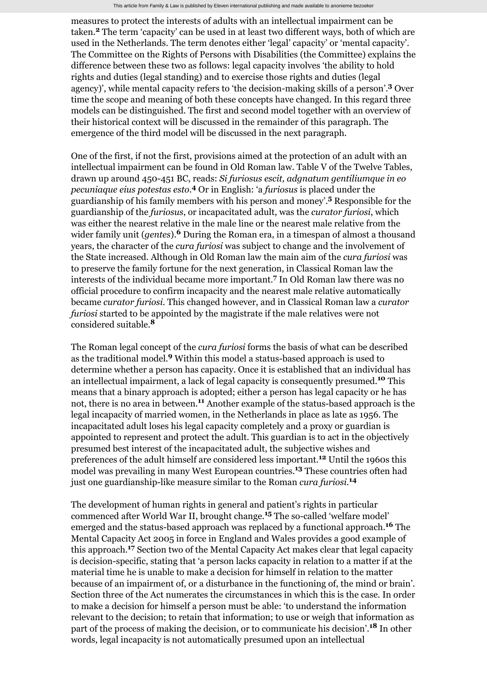measures to protect the interests of adults with an intellectual impairment can be taken.<sup>2</sup> The term 'capacity' can be used in at least two different ways, both of which are used in the Netherlands. The term denotes either 'legal' capacity' or 'mental capacity'. The Committee on the Rights of Persons with Disabilities (the Committee) explains the difference between these two as follows: legal capacity involves 'the ability to hold rights and duties (legal standing) and to exercise those rights and duties (legal agency)', while mental capacity refers to 'the decision-making skills of a person'.<sup>3</sup> Over time the scope and meaning of both these concepts have changed. In this regard three models can be distinguished. The first and second model together with an overview of their historical context will be discussed in the remainder of this paragraph. The emergence of the third model will be discussed in the next paragraph.

One of the first, if not the first, provisions aimed at the protection of an adult with an intellectual impairment can be found in Old Roman law. Table V of the Twelve Tables, drawn up around 450-451 BC, reads: *Si furiosus escit, adgnatum gentiliumque in eo* pecuniaque eius potestas esto.<sup>4</sup> Or in English: 'a *furiosus* is placed under the guardianship of his family members with his person and money'.<sup>5</sup> Responsible for the guardianship of the *furiosus*, or incapacitated adult, was the *curator furiosi*, which was either the nearest relative in the male line or the nearest male relative from the wider family unit (*gentes*).<sup>6</sup> During the Roman era, in a timespan of almost a thousand years, the character of the *cura furiosi* was subject to change and the involvement of the State increased. Although in Old Roman law the main aim of the *cura furiosi* was to preserve the family fortune for the next generation, in Classical Roman law the interests of the individual became more important.<sup>7</sup> In Old Roman law there was no official procedure to confirm incapacity and the nearest male relative automatically became *curator furiosi*. This changed however, and in Classical Roman law a *curator furiosi* started to be appointed by the magistrate if the male relatives were not considered suitable. **8**

The Roman legal concept of the *cura furiosi* forms the basis of what can be described as the traditional model.<sup>9</sup> Within this model a status-based approach is used to determine whether a person has capacity. Once it is established that an individual has an intellectual impairment, a lack of legal capacity is consequently presumed.<sup>10</sup> This means that a binary approach is adopted; either a person has legal capacity or he has not, there is no area in between.<sup>11</sup> Another example of the status-based approach is the legal incapacity of married women, in the Netherlands in place as late as 1956. The incapacitated adult loses his legal capacity completely and a proxy or guardian is appointed to represent and protect the adult. This guardian is to act in the objectively presumed best interest of the incapacitated adult, the subjective wishes and preferences of the adult himself are considered less important.<sup>12</sup> Until the 1960s this model was prevailing in many West European countries.<sup>13</sup> These countries often had just one guardianship-like measure similar to the Roman *cura furiosi*. **14**

The development of human rights in general and patient's rights in particular commenced after World War II, brought change.<sup>15</sup> The so-called 'welfare model' emerged and the status-based approach was replaced by a functional approach.<sup>16</sup> The Mental Capacity Act 2005 in force in England and Wales provides a good example of this approach.<sup>17</sup> Section two of the Mental Capacity Act makes clear that legal capacity is decision-specific, stating that 'a person lacks capacity in relation to a matter if at the material time he is unable to make a decision for himself in relation to the matter because of an impairment of, or a disturbance in the functioning of, the mind or brain'. Section three of the Act numerates the circumstances in which this is the case. In order to make a decision for himself a person must be able: 'to understand the information relevant to the decision; to retain that information; to use or weigh that information as part of the process of making the decision, or to communicate his decision'.<sup>18</sup> In other words, legal incapacity is not automatically presumed upon an intellectual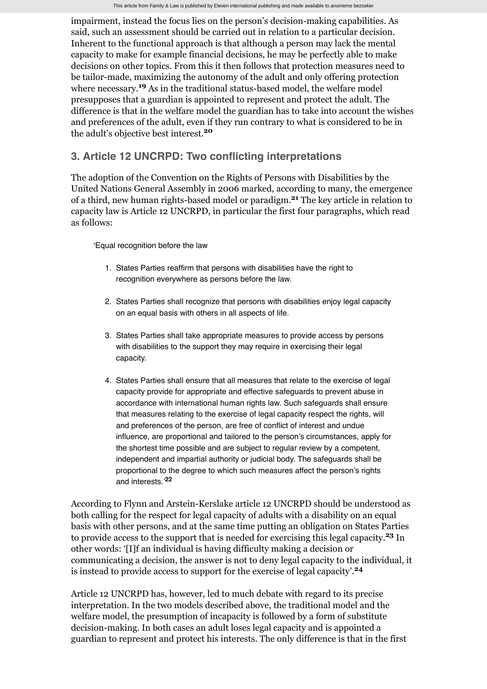impairment, instead the focus lies on the person's decision-making capabilities. As said, such an assessment should be carried out in relation to a particular decision. Inherent to the functional approach is that although a person may lack the mental capacity to make for example financial decisions, he may be perfectly able to make decisions on other topics. From this it then follows that protection measures need to be tailor-made, maximizing the autonomy of the adult and only offering protection where necessary.<sup>19</sup> As in the traditional status-based model, the welfare model presupposes that a guardian is appointed to represent and protect the adult. The difference is that in the welfare model the guardian has to take into account the wishes and preferences of the adult, even if they run contrary to what is considered to be in the adult's objective best interest. **20**

# <span id="page-2-0"></span>**3. Article 12 UNCRPD: Two conflicting interpretations**

The adoption of the Convention on the Rights of Persons with Disabilities by the United Nations General Assembly in 2006 marked, according to many, the emergence of a third, new human rights-based model or paradigm.<sup>21</sup> The key article in relation to capacity law is Article 12 UNCRPD, in particular the first four paragraphs, which read as follows:

'Equal recognition before the law

- 1. States Parties reaffirm that persons with disabilities have the right to recognition everywhere as persons before the law.
- 2. States Parties shall recognize that persons with disabilities enjoy legal capacity on an equal basis with others in all aspects of life.
- 3. States Parties shall take appropriate measures to provide access by persons with disabilities to the support they may require in exercising their legal capacity.
- 4. States Parties shall ensure that all measures that relate to the exercise of legal capacity provide for appropriate and effective safeguards to prevent abuse in accordance with international human rights law. Such safeguards shall ensure that measures relating to the exercise of legal capacity respect the rights, will and preferences of the person, are free of conflict of interest and undue influence, are proportional and tailored to the person's circumstances, apply for the shortest time possible and are subject to regular review by a competent, independent and impartial authority or judicial body. The safeguards shall be proportional to the degree to which such measures affect the person's rights and interests.' **22**

According to Flynn and Arstein-Kerslake article 12 UNCRPD should be understood as both calling for the respect for legal capacity of adults with a disability on an equal basis with other persons, and at the same time putting an obligation on States Parties to provide access to the support that is needed for exercising this legal capacity.<sup>23</sup> In other words: '[I]f an individual is having difficulty making a decision or communicating a decision, the answer is not to deny legal capacity to the individual, it is instead to provide access to support for the exercise of legal capacity'. **24**

Article 12 UNCRPD has, however, led to much debate with regard to its precise interpretation. In the two models described above, the traditional model and the welfare model, the presumption of incapacity is followed by a form of substitute decision-making. In both cases an adult loses legal capacity and is appointed a guardian to represent and protect his interests. The only difference is that in the first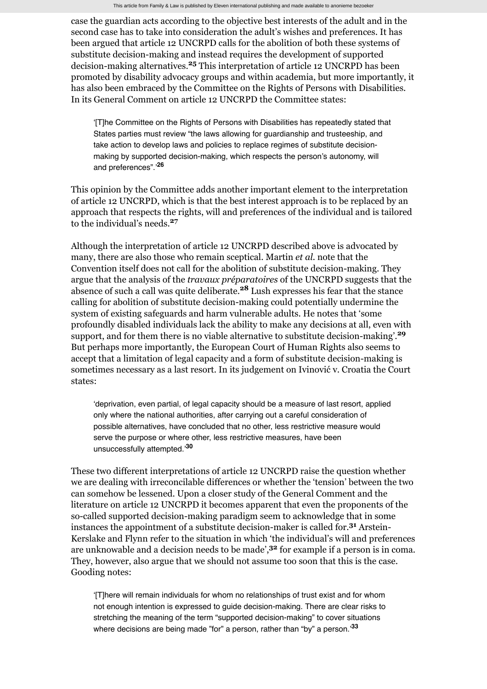case the guardian acts according to the objective best interests of the adult and in the second case has to take into consideration the adult's wishes and preferences. It has been argued that article 12 UNCRPD calls for the abolition of both these systems of substitute decision-making and instead requires the development of supported decision-making alternatives.<sup>25</sup> This interpretation of article 12 UNCRPD has been promoted by disability advocacy groups and within academia, but more importantly, it has also been embraced by the Committee on the Rights of Persons with Disabilities. In its General Comment on article 12 UNCRPD the Committee states:

'[T]he Committee on the Rights of Persons with Disabilities has repeatedly stated that States parties must review "the laws allowing for guardianship and trusteeship, and take action to develop laws and policies to replace regimes of substitute decisionmaking by supported decision-making, which respects the person's autonomy, will and preferences".' **26**

This opinion by the Committee adds another important element to the interpretation of article 12 UNCRPD, which is that the best interest approach is to be replaced by an approach that respects the rights, will and preferences of the individual and is tailored to the individual's needs. **27**

Although the interpretation of article 12 UNCRPD described above is advocated by many, there are also those who remain sceptical. Martin *et al.* note that the Convention itself does not call for the abolition of substitute decision-making. They argue that the analysis of the *travaux préparatoires* of the UNCRPD suggests that the absence of such a call was quite deliberate.<sup>28</sup> Lush expresses his fear that the stance calling for abolition of substitute decision-making could potentially undermine the system of existing safeguards and harm vulnerable adults. He notes that 'some profoundly disabled individuals lack the ability to make any decisions at all, even with support, and for them there is no viable alternative to substitute decision-making'. **29** But perhaps more importantly, the European Court of Human Rights also seems to accept that a limitation of legal capacity and a form of substitute decision-making is sometimes necessary as a last resort. In its judgement on Ivinović v. Croatia the Court states:

'deprivation, even partial, of legal capacity should be a measure of last resort, applied only where the national authorities, after carrying out a careful consideration of possible alternatives, have concluded that no other, less restrictive measure would serve the purpose or where other, less restrictive measures, have been unsuccessfully attempted.' **30**

These two different interpretations of article 12 UNCRPD raise the question whether we are dealing with irreconcilable differences or whether the 'tension' between the two can somehow be lessened. Upon a closer study of the General Comment and the literature on article 12 UNCRPD it becomes apparent that even the proponents of the so-called supported decision-making paradigm seem to acknowledge that in some instances the appointment of a substitute decision-maker is called for.<sup>31</sup> Arstein-Kerslake and Flynn refer to the situation in which 'the individual's will and preferences are unknowable and a decision needs to be made',<sup>32</sup> for example if a person is in coma. They, however, also argue that we should not assume too soon that this is the case. Gooding notes:

'[T]here will remain individuals for whom no relationships of trust exist and for whom not enough intention is expressed to guide decision-making. There are clear risks to stretching the meaning of the term "supported decision-making" to cover situations where decisions are being made "for" a person, rather than "by" a person.' **33**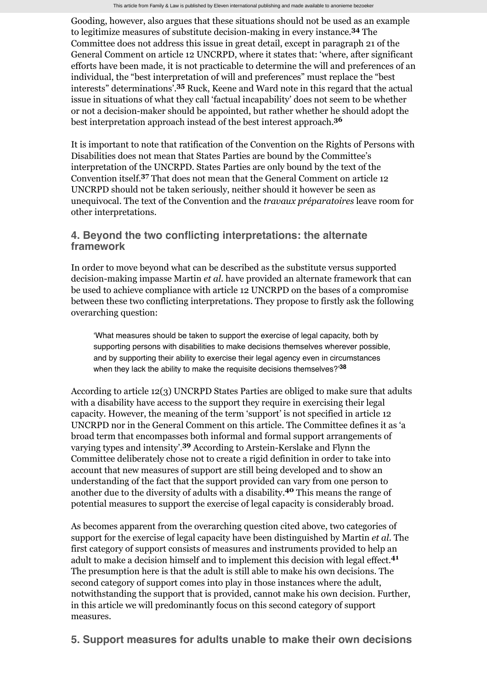Gooding, however, also argues that these situations should not be used as an example to legitimize measures of substitute decision-making in every instance.<sup>34</sup> The Committee does not address this issue in great detail, except in paragraph 21 of the General Comment on article 12 UNCRPD, where it states that: 'where, after significant efforts have been made, it is not practicable to determine the will and preferences of an individual, the "best interpretation of will and preferences" must replace the "best interests" determinations'.<sup>35</sup> Ruck, Keene and Ward note in this regard that the actual issue in situations of what they call 'factual incapability' does not seem to be whether or not a decision-maker should be appointed, but rather whether he should adopt the best interpretation approach instead of the best interest approach. **36**

It is important to note that ratification of the Convention on the Rights of Persons with Disabilities does not mean that States Parties are bound by the Committee's interpretation of the UNCRPD. States Parties are only bound by the text of the Convention itself.<sup>37</sup> That does not mean that the General Comment on article 12 UNCRPD should not be taken seriously, neither should it however be seen as unequivocal. The text of the Convention and the *travaux préparatoires* leave room for other interpretations.

# <span id="page-4-0"></span>**4. Beyond the two conflicting interpretations: the alternate framework**

In order to move beyond what can be described as the substitute versus supported decision-making impasse Martin *et al.* have provided an alternate framework that can be used to achieve compliance with article 12 UNCRPD on the bases of a compromise between these two conflicting interpretations. They propose to firstly ask the following overarching question:

'What measures should be taken to support the exercise of legal capacity, both by supporting persons with disabilities to make decisions themselves wherever possible, and by supporting their ability to exercise their legal agency even in circumstances when they lack the ability to make the requisite decisions themselves?' **38**

According to article 12(3) UNCRPD States Parties are obliged to make sure that adults with a disability have access to the support they require in exercising their legal capacity. However, the meaning of the term 'support' is not specified in article 12 UNCRPD nor in the General Comment on this article. The Committee defines it as 'a broad term that encompasses both informal and formal support arrangements of varying types and intensity'.<sup>39</sup> According to Arstein-Kerslake and Flynn the Committee deliberately chose not to create a rigid definition in order to take into account that new measures of support are still being developed and to show an understanding of the fact that the support provided can vary from one person to another due to the diversity of adults with a disability.<sup>40</sup> This means the range of potential measures to support the exercise of legal capacity is considerably broad.

As becomes apparent from the overarching question cited above, two categories of support for the exercise of legal capacity have been distinguished by Martin *et al.* The first category of support consists of measures and instruments provided to help an adult to make a decision himself and to implement this decision with legal effect. **41** The presumption here is that the adult is still able to make his own decisions. The second category of support comes into play in those instances where the adult, notwithstanding the support that is provided, cannot make his own decision. Further, in this article we will predominantly focus on this second category of support measures.

<span id="page-4-1"></span>**5. Support measures for adults unable to make their own decisions**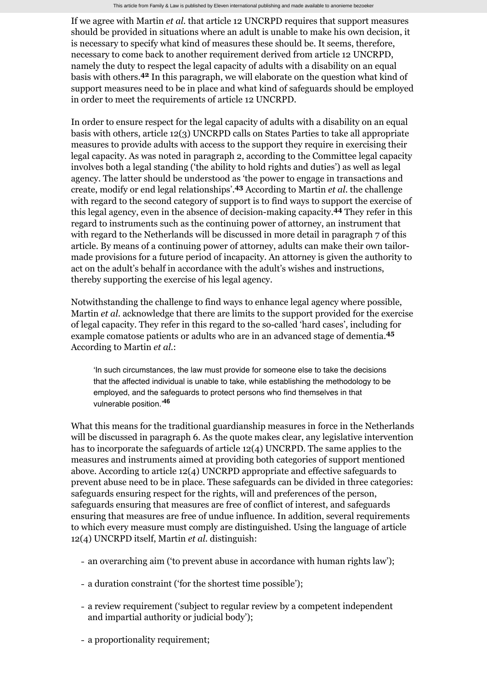If we agree with Martin *et al.* that article 12 UNCRPD requires that support measures should be provided in situations where an adult is unable to make his own decision, it is necessary to specify what kind of measures these should be. It seems, therefore, necessary to come back to another requirement derived from article 12 UNCRPD, namely the duty to respect the legal capacity of adults with a disability on an equal basis with others.<sup>42</sup> In this paragraph, we will elaborate on the question what kind of support measures need to be in place and what kind of safeguards should be employed in order to meet the requirements of article 12 UNCRPD.

In order to ensure respect for the legal capacity of adults with a disability on an equal basis with others, article 12(3) UNCRPD calls on States Parties to take all appropriate measures to provide adults with access to the support they require in exercising their legal capacity. As was noted in paragraph [2](#page-0-0), according to the Committee legal capacity involves both a legal standing ('the ability to hold rights and duties') as well as legal agency. The latter should be understood as 'the power to engage in transactions and create, modify or end legal relationships'.<sup>43</sup> According to Martin *et al*. the challenge with regard to the second category of support is to find ways to support the exercise of this legal agency, even in the absence of decision-making capacity.<sup>44</sup> They refer in this regard to instruments such as the continuing power of attorney, an instrument that with regard to the Netherlands will be discussed in more detail in paragraph [7](#page-9-0) of this article. By means of a continuing power of attorney, adults can make their own tailormade provisions for a future period of incapacity. An attorney is given the authority to act on the adult's behalf in accordance with the adult's wishes and instructions, thereby supporting the exercise of his legal agency.

Notwithstanding the challenge to find ways to enhance legal agency where possible, Martin *et al.* acknowledge that there are limits to the support provided for the exercise of legal capacity. They refer in this regard to the so-called 'hard cases', including for example comatose patients or adults who are in an advanced stage of dementia. **45** According to Martin *et al.*:

'In such circumstances, the law must provide for someone else to take the decisions that the affected individual is unable to take, while establishing the methodology to be employed, and the safeguards to protect persons who find themselves in that vulnerable position.' **46**

What this means for the traditional guardianship measures in force in the Netherlands will be discussed in paragraph [6](#page-7-0). As the quote makes clear, any legislative intervention has to incorporate the safeguards of article  $12(4)$  UNCRPD. The same applies to the measures and instruments aimed at providing both categories of support mentioned above. According to article 12(4) UNCRPD appropriate and effective safeguards to prevent abuse need to be in place. These safeguards can be divided in three categories: safeguards ensuring respect for the rights, will and preferences of the person, safeguards ensuring that measures are free of conflict of interest, and safeguards ensuring that measures are free of undue influence. In addition, several requirements to which every measure must comply are distinguished. Using the language of article 12(4) UNCRPD itself, Martin *et al.* distinguish:

- an overarching aim ('to prevent abuse in accordance with human rights law');
- a duration constraint ('for the shortest time possible');
- a review requirement ('subject to regular review by a competent independent and impartial authority or judicial body');
- a proportionality requirement;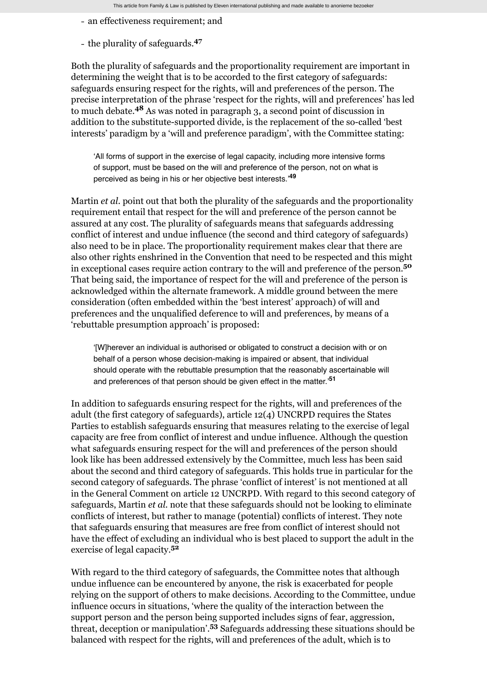- an effectiveness requirement; and
- the plurality of safeguards. **47**

Both the plurality of safeguards and the proportionality requirement are important in determining the weight that is to be accorded to the first category of safeguards: safeguards ensuring respect for the rights, will and preferences of the person. The precise interpretation of the phrase 'respect for the rights, will and preferences' has led to much debate.<sup>48</sup> As was noted in paragraph [3,](#page-2-0) a second point of discussion in addition to the substitute-supported divide, is the replacement of the so-called 'best interests' paradigm by a 'will and preference paradigm', with the Committee stating:

'All forms of support in the exercise of legal capacity, including more intensive forms of support, must be based on the will and preference of the person, not on what is perceived as being in his or her objective best interests.' **49**

Martin *et al.* point out that both the plurality of the safeguards and the proportionality requirement entail that respect for the will and preference of the person cannot be assured at any cost. The plurality of safeguards means that safeguards addressing conflict of interest and undue influence (the second and third category of safeguards) also need to be in place. The proportionality requirement makes clear that there are also other rights enshrined in the Convention that need to be respected and this might in exceptional cases require action contrary to the will and preference of the person. **50** That being said, the importance of respect for the will and preference of the person is acknowledged within the alternate framework. A middle ground between the mere consideration (often embedded within the 'best interest' approach) of will and preferences and the unqualified deference to will and preferences, by means of a 'rebuttable presumption approach' is proposed:

'[W]herever an individual is authorised or obligated to construct a decision with or on behalf of a person whose decision-making is impaired or absent, that individual should operate with the rebuttable presumption that the reasonably ascertainable will and preferences of that person should be given effect in the matter.' **51**

In addition to safeguards ensuring respect for the rights, will and preferences of the adult (the first category of safeguards), article 12(4) UNCRPD requires the States Parties to establish safeguards ensuring that measures relating to the exercise of legal capacity are free from conflict of interest and undue influence. Although the question what safeguards ensuring respect for the will and preferences of the person should look like has been addressed extensively by the Committee, much less has been said about the second and third category of safeguards. This holds true in particular for the second category of safeguards. The phrase 'conflict of interest' is not mentioned at all in the General Comment on article 12 UNCRPD. With regard to this second category of safeguards, Martin *et al.* note that these safeguards should not be looking to eliminate conflicts of interest, but rather to manage (potential) conflicts of interest. They note that safeguards ensuring that measures are free from conflict of interest should not have the effect of excluding an individual who is best placed to support the adult in the exercise of legal capacity. **52**

With regard to the third category of safeguards, the Committee notes that although undue influence can be encountered by anyone, the risk is exacerbated for people relying on the support of others to make decisions. According to the Committee, undue influence occurs in situations, 'where the quality of the interaction between the support person and the person being supported includes signs of fear, aggression, threat, deception or manipulation'.<sup>53</sup> Safeguards addressing these situations should be balanced with respect for the rights, will and preferences of the adult, which is to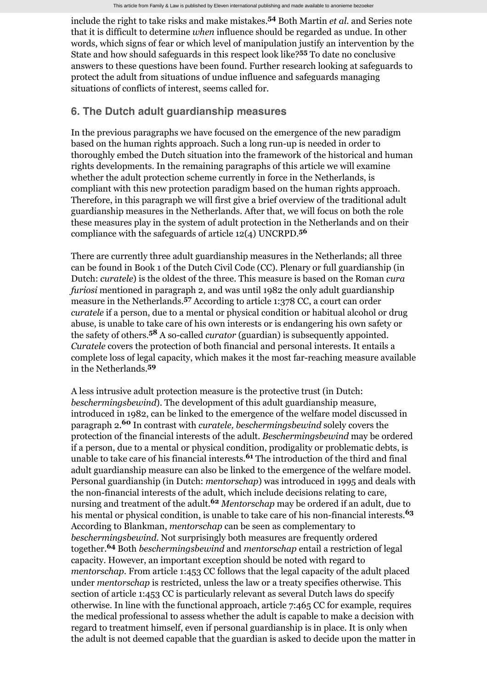include the right to take risks and make mistakes.<sup>54</sup> Both Martin *et al.* and Series note that it is difficult to determine *when* influence should be regarded as undue. In other words, which signs of fear or which level of manipulation justify an intervention by the State and how should safeguards in this respect look like?<sup>55</sup> To date no conclusive answers to these questions have been found. Further research looking at safeguards to protect the adult from situations of undue influence and safeguards managing situations of conflicts of interest, seems called for.

## <span id="page-7-0"></span>**6. The Dutch adult guardianship measures**

In the previous paragraphs we have focused on the emergence of the new paradigm based on the human rights approach. Such a long run-up is needed in order to thoroughly embed the Dutch situation into the framework of the historical and human rights developments. In the remaining paragraphs of this article we will examine whether the adult protection scheme currently in force in the Netherlands, is compliant with this new protection paradigm based on the human rights approach. Therefore, in this paragraph we will first give a brief overview of the traditional adult guardianship measures in the Netherlands. After that, we will focus on both the role these measures play in the system of adult protection in the Netherlands and on their compliance with the safeguards of article 12(4) UNCRPD. **56**

There are currently three adult guardianship measures in the Netherlands; all three can be found in Book 1 of the Dutch Civil Code (CC). Plenary or full guardianship (in Dutch: *curatele*) is the oldest of the three. This measure is based on the Roman *cura furiosi* mentioned in paragraph [2](#page-0-0), and was until 1982 the only adult guardianship measure in the Netherlands.<sup>57</sup> According to article 1:378 CC, a court can order *curatele* if a person, due to a mental or physical condition or habitual alcohol or drug abuse, is unable to take care of his own interests or is endangering his own safety or the safety of others.<sup>58</sup> A so-called *curator* (guardian) is subsequently appointed. *Curatele* covers the protection of both financial and personal interests. It entails a complete loss of legal capacity, which makes it the most far-reaching measure available in the Netherlands. **59**

A less intrusive adult protection measure is the protective trust (in Dutch: *beschermingsbewind*). The development of this adult guardianship measure, introduced in 1982, can be linked to the emergence of the welfare model discussed in paragraph [2.](#page-0-0)<sup>60</sup> In contrast with *curatele, beschermingsbewind* solely covers the protection of the financial interests of the adult. *Beschermingsbewind* may be ordered if a person, due to a mental or physical condition, prodigality or problematic debts, is unable to take care of his financial interests.<sup>61</sup> The introduction of the third and final adult guardianship measure can also be linked to the emergence of the welfare model. Personal guardianship (in Dutch: *mentorschap*) was introduced in 1995 and deals with the non-financial interests of the adult, which include decisions relating to care, nursing and treatment of the adult.<sup>62</sup> Mentorschap may be ordered if an adult, due to his mental or physical condition, is unable to take care of his non-financial interests. **63** According to Blankman, *mentorschap* can be seen as complementary to *beschermingsbewind*. Not surprisingly both measures are frequently ordered together.<sup>64</sup> Both *beschermingsbewind* and *mentorschap* entail a restriction of legal capacity. However, an important exception should be noted with regard to *mentorschap*. From article 1:453 CC follows that the legal capacity of the adult placed under *mentorschap* is restricted, unless the law or a treaty specifies otherwise. This section of article 1:453 CC is particularly relevant as several Dutch laws do specify otherwise. In line with the functional approach, article 7:465 CC for example, requires the medical professional to assess whether the adult is capable to make a decision with regard to treatment himself, even if personal guardianship is in place. It is only when the adult is not deemed capable that the guardian is asked to decide upon the matter in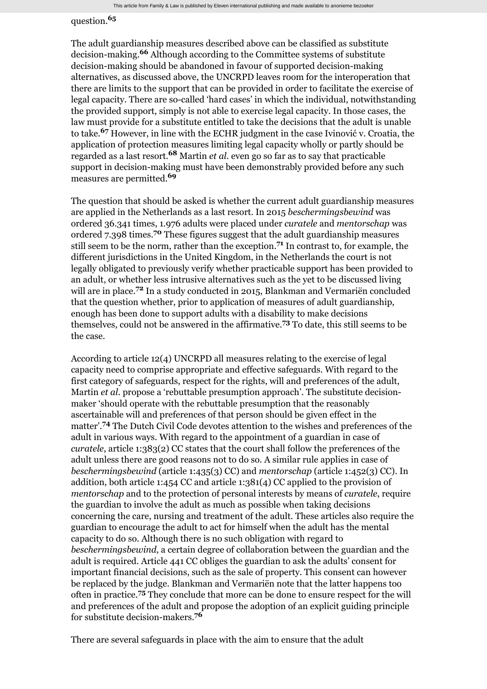## question. **65**

The adult guardianship measures described above can be classified as substitute decision-making.<sup>66</sup> Although according to the Committee systems of substitute decision-making should be abandoned in favour of supported decision-making alternatives, as discussed above, the UNCRPD leaves room for the interoperation that there are limits to the support that can be provided in order to facilitate the exercise of legal capacity. There are so-called 'hard cases' in which the individual, notwithstanding the provided support, simply is not able to exercise legal capacity. In those cases, the law must provide for a substitute entitled to take the decisions that the adult is unable to take.<sup>67</sup> However, in line with the ECHR judgment in the case Ivinović v. Croatia, the application of protection measures limiting legal capacity wholly or partly should be regarded as a last resort.<sup>68</sup> Martin *et al*. even go so far as to say that practicable support in decision-making must have been demonstrably provided before any such measures are permitted. **69**

The question that should be asked is whether the current adult guardianship measures are applied in the Netherlands as a last resort. In 2015 *beschermingsbewind* was ordered 36.341 times, 1.976 adults were placed under *curatele* and *mentorschap* was ordered 7.398 times.<sup>70</sup> These figures suggest that the adult guardianship measures still seem to be the norm, rather than the exception.<sup>71</sup> In contrast to, for example, the different jurisdictions in the United Kingdom, in the Netherlands the court is not legally obligated to previously verify whether practicable support has been provided to an adult, or whether less intrusive alternatives such as the yet to be discussed living will are in place.<sup>72</sup> In a study conducted in 2015, Blankman and Vermariën concluded that the question whether, prior to application of measures of adult guardianship, enough has been done to support adults with a disability to make decisions themselves, could not be answered in the affirmative.<sup>73</sup> To date, this still seems to be the case.

According to article 12(4) UNCRPD all measures relating to the exercise of legal capacity need to comprise appropriate and effective safeguards. With regard to the first category of safeguards, respect for the rights, will and preferences of the adult, Martin *et al.* propose a 'rebuttable presumption approach'. The substitute decisionmaker 'should operate with the rebuttable presumption that the reasonably ascertainable will and preferences of that person should be given effect in the matter'.<sup>74</sup> The Dutch Civil Code devotes attention to the wishes and preferences of the adult in various ways. With regard to the appointment of a guardian in case of *curatele*, article 1:383(2) CC states that the court shall follow the preferences of the adult unless there are good reasons not to do so. A similar rule applies in case of *beschermingsbewind* (article 1:435(3) CC) and *mentorschap* (article 1:452(3) CC). In addition, both article 1:454 CC and article 1:381(4) CC applied to the provision of *mentorschap* and to the protection of personal interests by means of *curatele*, require the guardian to involve the adult as much as possible when taking decisions concerning the care, nursing and treatment of the adult. These articles also require the guardian to encourage the adult to act for himself when the adult has the mental capacity to do so. Although there is no such obligation with regard to *beschermingsbewind*, a certain degree of collaboration between the guardian and the adult is required. Article 441 CC obliges the guardian to ask the adults' consent for important financial decisions, such as the sale of property. This consent can however be replaced by the judge. Blankman and Vermariën note that the latter happens too often in practice.<sup>75</sup> They conclude that more can be done to ensure respect for the will and preferences of the adult and propose the adoption of an explicit guiding principle for substitute decision-makers. **76**

There are several safeguards in place with the aim to ensure that the adult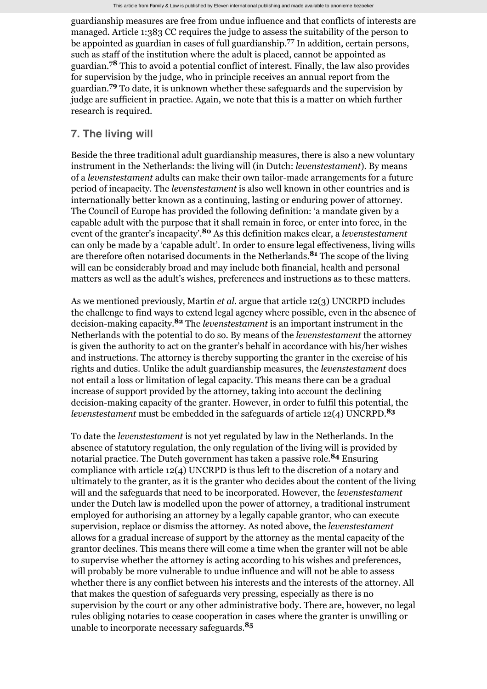guardianship measures are free from undue influence and that conflicts of interests are managed. Article 1:383 CC requires the judge to assess the suitability of the person to be appointed as guardian in cases of full guardianship.<sup>77</sup> In addition, certain persons, such as staff of the institution where the adult is placed, cannot be appointed as guardian.<sup>78</sup> This to avoid a potential conflict of interest. Finally, the law also provides for supervision by the judge, who in principle receives an annual report from the guardian.<sup>79</sup> To date, it is unknown whether these safeguards and the supervision by judge are sufficient in practice. Again, we note that this is a matter on which further research is required.

#### <span id="page-9-0"></span>**7. The living will**

Beside the three traditional adult guardianship measures, there is also a new voluntary instrument in the Netherlands: the living will (in Dutch: *levenstestament*). By means of a *levenstestament* adults can make their own tailor-made arrangements for a future period of incapacity. The *levenstestament* is also well known in other countries and is internationally better known as a continuing, lasting or enduring power of attorney. The Council of Europe has provided the following definition: 'a mandate given by a capable adult with the purpose that it shall remain in force, or enter into force, in the event of the granter's incapacity'.<sup>80</sup> As this definition makes clear, a *levenstestament* can only be made by a 'capable adult'. In order to ensure legal effectiveness, living wills are therefore often notarised documents in the Netherlands.<sup>81</sup> The scope of the living will can be considerably broad and may include both financial, health and personal matters as well as the adult's wishes, preferences and instructions as to these matters.

As we mentioned previously, Martin *et al.* argue that article 12(3) UNCRPD includes the challenge to find ways to extend legal agency where possible, even in the absence of decision-making capacity.<sup>82</sup> The *levenstestament* is an important instrument in the Netherlands with the potential to do so. By means of the *levenstestament* the attorney is given the authority to act on the granter's behalf in accordance with his/her wishes and instructions. The attorney is thereby supporting the granter in the exercise of his rights and duties. Unlike the adult guardianship measures, the *levenstestament* does not entail a loss or limitation of legal capacity. This means there can be a gradual increase of support provided by the attorney, taking into account the declining decision-making capacity of the granter. However, in order to fulfil this potential, the *levenstestament* must be embedded in the safeguards of article 12(4) UNCRPD. **83**

To date the *levenstestament* is not yet regulated by law in the Netherlands. In the absence of statutory regulation, the only regulation of the living will is provided by notarial practice. The Dutch government has taken a passive role.<sup>84</sup> Ensuring compliance with article 12(4) UNCRPD is thus left to the discretion of a notary and ultimately to the granter, as it is the granter who decides about the content of the living will and the safeguards that need to be incorporated. However, the *levenstestament* under the Dutch law is modelled upon the power of attorney, a traditional instrument employed for authorising an attorney by a legally capable grantor, who can execute supervision, replace or dismiss the attorney. As noted above, the *levenstestament* allows for a gradual increase of support by the attorney as the mental capacity of the grantor declines. This means there will come a time when the granter will not be able to supervise whether the attorney is acting according to his wishes and preferences, will probably be more vulnerable to undue influence and will not be able to assess whether there is any conflict between his interests and the interests of the attorney. All that makes the question of safeguards very pressing, especially as there is no supervision by the court or any other administrative body. There are, however, no legal rules obliging notaries to cease cooperation in cases where the granter is unwilling or unable to incorporate necessary safeguards. **85**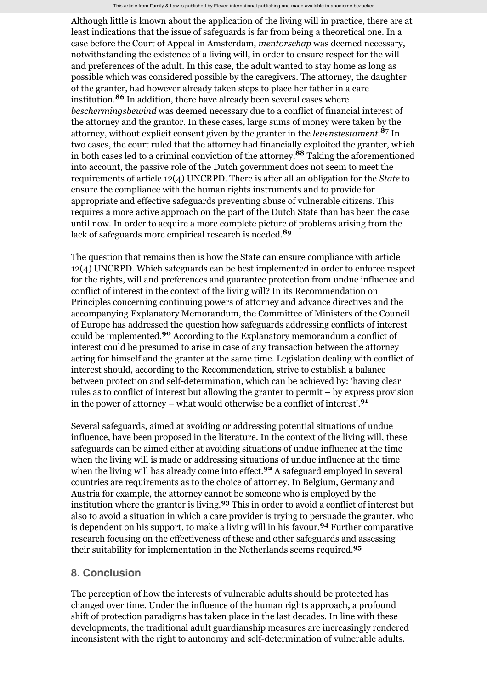Although little is known about the application of the living will in practice, there are at least indications that the issue of safeguards is far from being a theoretical one. In a case before the Court of Appeal in Amsterdam, *mentorschap* was deemed necessary, notwithstanding the existence of a living will, in order to ensure respect for the will and preferences of the adult. In this case, the adult wanted to stay home as long as possible which was considered possible by the caregivers. The attorney, the daughter of the granter, had however already taken steps to place her father in a care institution.<sup>86</sup> In addition, there have already been several cases where *beschermingsbewind* was deemed necessary due to a conflict of financial interest of the attorney and the grantor. In these cases, large sums of money were taken by the attorney, without explicit consent given by the granter in the *levenstestament*.<sup>87</sup> In two cases, the court ruled that the attorney had financially exploited the granter, which in both cases led to a criminal conviction of the attorney.<sup>88</sup> Taking the aforementioned into account, the passive role of the Dutch government does not seem to meet the requirements of article 12(4) UNCRPD. There is after all an obligation for the *State* to ensure the compliance with the human rights instruments and to provide for appropriate and effective safeguards preventing abuse of vulnerable citizens. This requires a more active approach on the part of the Dutch State than has been the case until now. In order to acquire a more complete picture of problems arising from the lack of safeguards more empirical research is needed. **89**

The question that remains then is how the State can ensure compliance with article 12(4) UNCRPD. Which safeguards can be best implemented in order to enforce respect for the rights, will and preferences and guarantee protection from undue influence and conflict of interest in the context of the living will? In its Recommendation on Principles concerning continuing powers of attorney and advance directives and the accompanying Explanatory Memorandum, the Committee of Ministers of the Council of Europe has addressed the question how safeguards addressing conflicts of interest could be implemented.<sup>90</sup> According to the Explanatory memorandum a conflict of interest could be presumed to arise in case of any transaction between the attorney acting for himself and the granter at the same time. Legislation dealing with conflict of interest should, according to the Recommendation, strive to establish a balance between protection and self-determination, which can be achieved by: 'having clear rules as to conflict of interest but allowing the granter to permit – by express provision in the power of attorney – what would otherwise be a conflict of interest'. **91**

Several safeguards, aimed at avoiding or addressing potential situations of undue influence, have been proposed in the literature. In the context of the living will, these safeguards can be aimed either at avoiding situations of undue influence at the time when the living will is made or addressing situations of undue influence at the time when the living will has already come into effect.<sup>92</sup> A safeguard employed in several countries are requirements as to the choice of attorney. In Belgium, Germany and Austria for example, the attorney cannot be someone who is employed by the institution where the granter is living.<sup>93</sup> This in order to avoid a conflict of interest but also to avoid a situation in which a care provider is trying to persuade the granter, who is dependent on his support, to make a living will in his favour.<sup>94</sup> Further comparative research focusing on the effectiveness of these and other safeguards and assessing their suitability for implementation in the Netherlands seems required. **95**

## **8. Conclusion**

The perception of how the interests of vulnerable adults should be protected has changed over time. Under the influence of the human rights approach, a profound shift of protection paradigms has taken place in the last decades. In line with these developments, the traditional adult guardianship measures are increasingly rendered inconsistent with the right to autonomy and self-determination of vulnerable adults.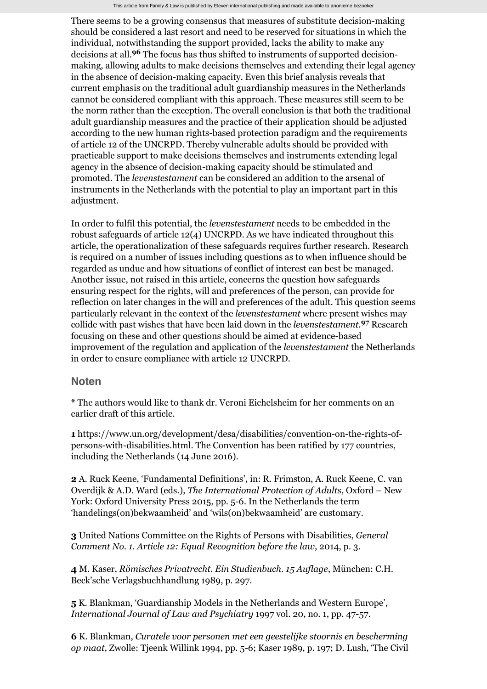There seems to be a growing consensus that measures of substitute decision-making should be considered a last resort and need to be reserved for situations in which the individual, notwithstanding the support provided, lacks the ability to make any decisions at all.<sup>96</sup> The focus has thus shifted to instruments of supported decisionmaking, allowing adults to make decisions themselves and extending their legal agency in the absence of decision-making capacity. Even this brief analysis reveals that current emphasis on the traditional adult guardianship measures in the Netherlands cannot be considered compliant with this approach. These measures still seem to be the norm rather than the exception. The overall conclusion is that both the traditional adult guardianship measures and the practice of their application should be adjusted according to the new human rights-based protection paradigm and the requirements of article 12 of the UNCRPD. Thereby vulnerable adults should be provided with practicable support to make decisions themselves and instruments extending legal agency in the absence of decision-making capacity should be stimulated and promoted. The *levenstestament* can be considered an addition to the arsenal of instruments in the Netherlands with the potential to play an important part in this adjustment.

In order to fulfil this potential, the *levenstestament* needs to be embedded in the robust safeguards of article 12(4) UNCRPD. As we have indicated throughout this article, the operationalization of these safeguards requires further research. Research is required on a number of issues including questions as to when influence should be regarded as undue and how situations of conflict of interest can best be managed. Another issue, not raised in this article, concerns the question how safeguards ensuring respect for the rights, will and preferences of the person, can provide for reflection on later changes in the will and preferences of the adult. This question seems particularly relevant in the context of the *levenstestament* where present wishes may collide with past wishes that have been laid down in the *levenstestament*.<sup>97</sup> Research focusing on these and other questions should be aimed at evidence-based improvement of the regulation and application of the *levenstestament* the Netherlands in order to ensure compliance with article 12 UNCRPD.

#### **Noten**

**\*** The authors would like to thank dr. Veroni Eichelsheim for her comments on an earlier draft of this article.

**1** [https://www.un.org/development/desa/disabilities/convention-on-the-rights-of](https://www.un.org/development/desa/disabilities/convention-on-the-rights-of-persons-with-disabilities.html)persons-with-disabilities.html. The Convention has been ratified by 177 countries, including the Netherlands (14 June 2016).

**2** A. Ruck Keene, 'Fundamental Definitions', in: R. Frimston, A. Ruck Keene, C. van Overdijk & A.D. Ward (eds.), *The International Protection of Adults*, Oxford – New York: Oxford University Press 2015, pp. 5-6. In the Netherlands the term 'handelings(on)bekwaamheid' and 'wils(on)bekwaamheid' are customary.

**3** United Nations Committee on the Rights of Persons with Disabilities, *General Comment No. 1. Article 12: Equal Recognition before the law*, 2014, p. 3.

**4** M. Kaser, *Römisches Privatrecht. Ein Studienbuch. 15 Auflage*, München: C.H. Beck'sche Verlagsbuchhandlung 1989, p. 297.

**5** K. Blankman, 'Guardianship Models in the Netherlands and Western Europe', *International Journal of Law and Psychiatry* 1997 vol. 20, no. 1, pp. 47-57.

**6** K. Blankman, *Curatele voor personen met een geestelijke stoornis en bescherming op maat*, Zwolle: Tjeenk Willink 1994, pp. 5-6; Kaser 1989, p. 197; D. Lush, 'The Civil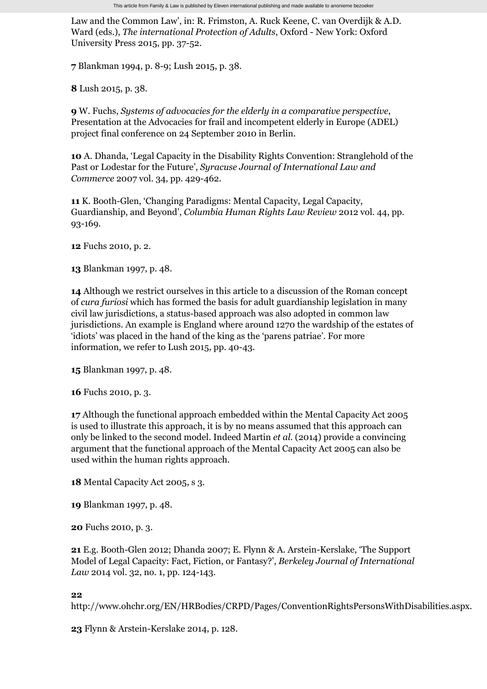Law and the Common Law', in: R. Frimston, A. Ruck Keene, C. van Overdijk & A.D. Ward (eds.), *The international Protection of Adults*, Oxford - New York: Oxford University Press 2015, pp. 37-52.

**7** Blankman 1994, p. 8-9; Lush 2015, p. 38.

**8** Lush 2015, p. 38.

**9** W. Fuchs, *Systems of advocacies for the elderly in a comparative perspective*, Presentation at the Advocacies for frail and incompetent elderly in Europe (ADEL) project final conference on 24 September 2010 in Berlin.

**10** A. Dhanda, 'Legal Capacity in the Disability Rights Convention: Stranglehold of the Past or Lodestar for the Future', *Syracuse Journal of International Law and Commerce* 2007 vol. 34, pp. 429-462.

**11** K. Booth-Glen, 'Changing Paradigms: Mental Capacity, Legal Capacity, Guardianship, and Beyond', *Columbia Human Rights Law Review* 2012 vol. 44, pp. 93-169.

**12** Fuchs 2010, p. 2.

**13** Blankman 1997, p. 48.

**14** Although we restrict ourselves in this article to a discussion of the Roman concept of *cura furiosi* which has formed the basis for adult guardianship legislation in many civil law jurisdictions, a status-based approach was also adopted in common law jurisdictions. An example is England where around 1270 the wardship of the estates of 'idiots' was placed in the hand of the king as the 'parens patriae'. For more information, we refer to Lush 2015, pp. 40-43.

**15** Blankman 1997, p. 48.

**16** Fuchs 2010, p. 3.

**17** Although the functional approach embedded within the Mental Capacity Act 2005 is used to illustrate this approach, it is by no means assumed that this approach can only be linked to the second model. Indeed Martin *et al.* (2014) provide a convincing argument that the functional approach of the Mental Capacity Act 2005 can also be used within the human rights approach.

**18** Mental Capacity Act 2005, s 3.

**19** Blankman 1997, p. 48.

**20** Fuchs 2010, p. 3.

**21** E.g. Booth-Glen 2012; Dhanda 2007; E. Flynn & A. Arstein-Kerslake, 'The Support Model of Legal Capacity: Fact, Fiction, or Fantasy?', *Berkeley Journal of International Law* 2014 vol. 32, no. 1, pp. 124-143.

**22**

[http://www.ohchr.org/EN/HRBodies/CRPD/Pages/ConventionRightsPersonsWithDisabilities.aspx.](http://www.ohchr.org/EN/HRBodies/CRPD/Pages/ConventionRightsPersonsWithDisabilities.aspx)

**23** Flynn & Arstein-Kerslake 2014, p. 128.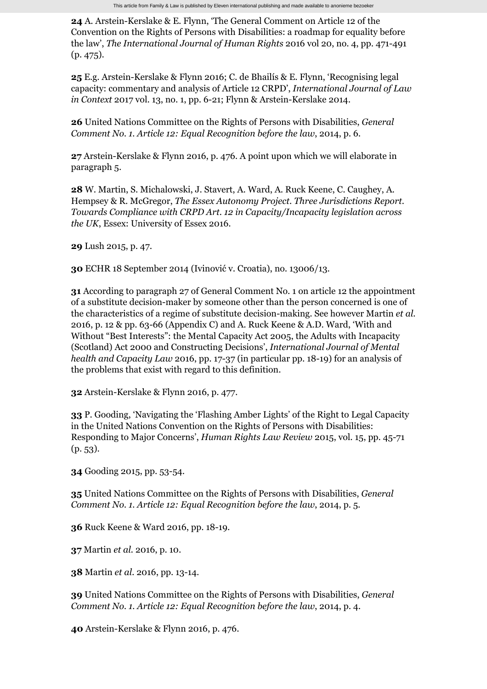**24** A. Arstein-Kerslake & E. Flynn, 'The General Comment on Article 12 of the Convention on the Rights of Persons with Disabilities: a roadmap for equality before the law', *The International Journal of Human Rights* 2016 vol 20, no. 4, pp. 471-491 (p. 475).

**25** E.g. Arstein-Kerslake & Flynn 2016; C. de Bhailís & E. Flynn, 'Recognising legal capacity: commentary and analysis of Article 12 CRPD', *International Journal of Law in Context* 2017 vol. 13, no. 1, pp. 6-21; Flynn & Arstein-Kerslake 2014.

**26** United Nations Committee on the Rights of Persons with Disabilities, *General Comment No. 1. Article 12: Equal Recognition before the law*, 2014, p. 6.

**27** Arstein-Kerslake & Flynn 2016, p. 476. A point upon which we will elaborate in paragraph [5](#page-4-1).

**28** W. Martin, S. Michalowski, J. Stavert, A. Ward, A. Ruck Keene, C. Caughey, A. Hempsey & R. McGregor, *The Essex Autonomy Project. Three Jurisdictions Report. Towards Compliance with CRPD Art. 12 in Capacity/Incapacity legislation across the UK*, Essex: University of Essex 2016.

**29** Lush 2015, p. 47.

**30** ECHR 18 September 2014 (Ivinović v. Croatia), no. 13006/13.

**31** According to paragraph 27 of General Comment No. 1 on article 12 the appointment of a substitute decision-maker by someone other than the person concerned is one of the characteristics of a regime of substitute decision-making. See however Martin *et al.* 2016, p. 12 & pp. 63-66 (Appendix C) and A. Ruck Keene & A.D. Ward, 'With and Without "Best Interests": the Mental Capacity Act 2005, the Adults with Incapacity (Scotland) Act 2000 and Constructing Decisions', *International Journal of Mental health and Capacity Law* 2016, pp. 17-37 (in particular pp. 18-19) for an analysis of the problems that exist with regard to this definition.

**32** Arstein-Kerslake & Flynn 2016, p. 477.

**33** P. Gooding, 'Navigating the 'Flashing Amber Lights' of the Right to Legal Capacity in the United Nations Convention on the Rights of Persons with Disabilities: Responding to Major Concerns', *Human Rights Law Review* 2015, vol. 15, pp. 45-71 (p. 53).

**34** Gooding 2015, pp. 53-54.

**35** United Nations Committee on the Rights of Persons with Disabilities, *General Comment No. 1. Article 12: Equal Recognition before the law*, 2014, p. 5.

**36** Ruck Keene & Ward 2016, pp. 18-19.

**37** Martin *et al.* 2016, p. 10.

**38** Martin *et al.* 2016, pp. 13-14.

**39** United Nations Committee on the Rights of Persons with Disabilities, *General Comment No. 1. Article 12: Equal Recognition before the law*, 2014, p. 4.

**40** Arstein-Kerslake & Flynn 2016, p. 476.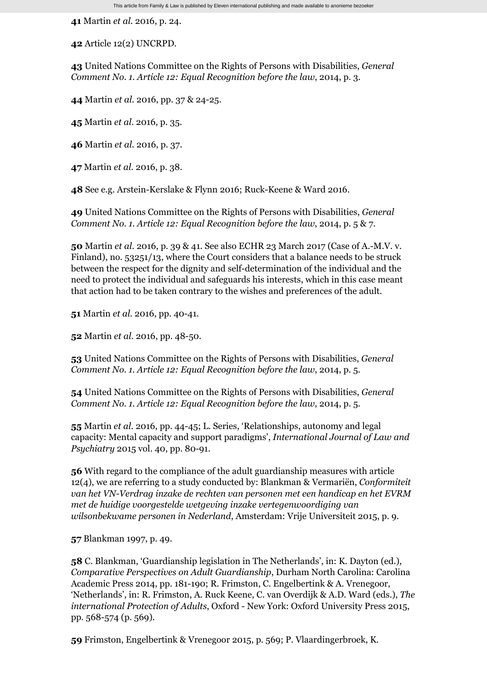**41** Martin *et al.* 2016, p. 24.

**42** Article 12(2) UNCRPD.

**43** United Nations Committee on the Rights of Persons with Disabilities, *General Comment No. 1. Article 12: Equal Recognition before the law*, 2014, p. 3.

**44** Martin *et al.* 2016, pp. 37 & 24-25.

**45** Martin *et al.* 2016, p. 35.

**46** Martin *et al.* 2016, p. 37.

**47** Martin *et al.* 2016, p. 38.

**48** See e.g. Arstein-Kerslake & Flynn 2016; Ruck-Keene & Ward 2016.

**49** United Nations Committee on the Rights of Persons with Disabilities, *General Comment No. 1. Article 12: Equal Recognition before the law*, 2014, p. 5 & 7.

**50** Martin *et al.* 2016, p. 39 & 41. See also ECHR 23 March 2017 (Case of A.-M.V. v. Finland), no. 53251/13, where the Court considers that a balance needs to be struck between the respect for the dignity and self-determination of the individual and the need to protect the individual and safeguards his interests, which in this case meant that action had to be taken contrary to the wishes and preferences of the adult.

**51** Martin *et al.* 2016, pp. 40-41.

**52** Martin *et al.* 2016, pp. 48-50.

**53** United Nations Committee on the Rights of Persons with Disabilities, *General Comment No. 1. Article 12: Equal Recognition before the law*, 2014, p. 5.

**54** United Nations Committee on the Rights of Persons with Disabilities, *General Comment No. 1. Article 12: Equal Recognition before the law*, 2014, p. 5.

**55** Martin *et al.* 2016, pp. 44-45; L. Series, 'Relationships, autonomy and legal capacity: Mental capacity and support paradigms', *International Journal of Law and Psychiatry* 2015 vol. 40, pp. 80-91.

**56** With regard to the compliance of the adult guardianship measures with article 12(4), we are referring to a study conducted by: Blankman & Vermariën, *Conformiteit van het VN-Verdrag inzake de rechten van personen met een handicap en het EVRM met de huidige voorgestelde wetgeving inzake vertegenwoordiging van wilsonbekwame personen in Nederland*, Amsterdam: Vrije Universiteit 2015, p. 9.

**57** Blankman 1997, p. 49.

**58** C. Blankman, 'Guardianship legislation in The Netherlands', in: K. Dayton (ed.), *Comparative Perspectives on Adult Guardianship*, Durham North Carolina: Carolina Academic Press 2014, pp. 181-190; R. Frimston, C. Engelbertink & A. Vrenegoor, 'Netherlands', in: R. Frimston, A. Ruck Keene, C. van Overdijk & A.D. Ward (eds.), *The international Protection of Adults*, Oxford - New York: Oxford University Press 2015, pp. 568-574 (p. 569).

**59** Frimston, Engelbertink & Vrenegoor 2015, p. 569; P. Vlaardingerbroek, K.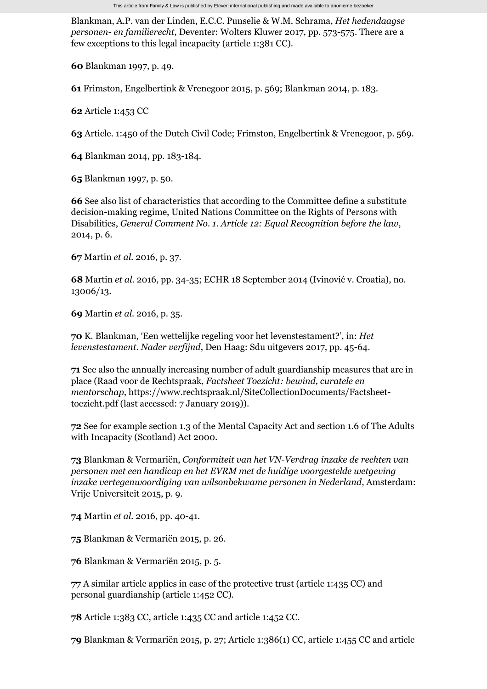Blankman, A.P. van der Linden, E.C.C. Punselie & W.M. Schrama, *Het hedendaagse personen- en familierecht*, Deventer: Wolters Kluwer 2017, pp. 573-575. There are a few exceptions to this legal incapacity (article 1:381 CC).

**60** Blankman 1997, p. 49.

**61** Frimston, Engelbertink & Vrenegoor 2015, p. 569; Blankman 2014, p. 183.

**62** Article 1:453 CC

**63** Article. 1:450 of the Dutch Civil Code; Frimston, Engelbertink & Vrenegoor, p. 569.

**64** Blankman 2014, pp. 183-184.

**65** Blankman 1997, p. 50.

**66** See also list of characteristics that according to the Committee define a substitute decision-making regime, United Nations Committee on the Rights of Persons with Disabilities, *General Comment No. 1. Article 12: Equal Recognition before the law*, 2014, p. 6.

**67** Martin *et al.* 2016, p. 37.

**68** Martin *et al.* 2016, pp. 34-35; ECHR 18 September 2014 (Ivinović v. Croatia), no. 13006/13.

**69** Martin *et al.* 2016, p. 35.

**70** K. Blankman, 'Een wettelijke regeling voor het levenstestament?', in: *Het levenstestament. Nader verfijnd*, Den Haag: Sdu uitgevers 2017, pp. 45-64.

**71** See also the annually increasing number of adult guardianship measures that are in place (Raad voor de Rechtspraak, *Factsheet Toezicht: bewind, curatele en mentorschap*[, https://www.rechtspraak.nl/SiteCollectionDocuments/Factsheet](https://www.rechtspraak.nl/SiteCollectionDocuments/Factsheet-toezicht.pdf)toezicht.pdf (last accessed: 7 January 2019)).

**72** See for example section 1.3 of the Mental Capacity Act and section 1.6 of The Adults with Incapacity (Scotland) Act 2000.

**73** Blankman & Vermariën, *Conformiteit van het VN-Verdrag inzake de rechten van personen met een handicap en het EVRM met de huidige voorgestelde wetgeving inzake vertegenwoordiging van wilsonbekwame personen in Nederland*, Amsterdam: Vrije Universiteit 2015, p. 9.

**74** Martin *et al.* 2016, pp. 40-41.

**75** Blankman & Vermariën 2015, p. 26.

**76** Blankman & Vermariën 2015, p. 5.

**77** A similar article applies in case of the protective trust (article 1:435 CC) and personal guardianship (article 1:452 CC).

**78** Article 1:383 CC, article 1:435 CC and article 1:452 CC.

**79** Blankman & Vermariën 2015, p. 27; Article 1:386(1) CC, article 1:455 CC and article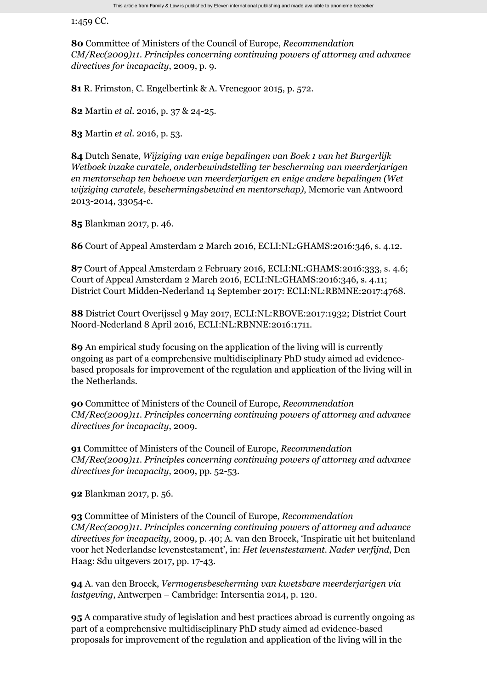1:459 CC.

**80** Committee of Ministers of the Council of Europe, *Recommendation CM/Rec(2009)11. Principles concerning continuing powers of attorney and advance directives for incapacity*, 2009, p. 9.

**81** R. Frimston, C. Engelbertink & A. Vrenegoor 2015, p. 572.

**82** Martin *et al.* 2016, p. 37 & 24-25.

**83** Martin *et al.* 2016, p. 53.

**84** Dutch Senate, *Wijziging van enige bepalingen van Boek 1 van het Burgerlijk Wetboek inzake curatele, onderbewindstelling ter bescherming van meerderjarigen en mentorschap ten behoeve van meerderjarigen en enige andere bepalingen (Wet wijziging curatele, beschermingsbewind en mentorschap)*, Memorie van Antwoord 2013-2014, 33054-c.

**85** Blankman 2017, p. 46.

**86** Court of Appeal Amsterdam 2 March 2016, ECLI:NL:GHAMS:2016:346, s. 4.12.

**87** Court of Appeal Amsterdam 2 February 2016, ECLI:NL:GHAMS:2016:333, s. 4.6; Court of Appeal Amsterdam 2 March 2016, ECLI:NL:GHAMS:2016:346, s. 4.11; District Court Midden-Nederland 14 September 2017: ECLI:NL:RBMNE:2017:4768.

**88** District Court Overijssel 9 May 2017, ECLI:NL:RBOVE:2017:1932; District Court Noord-Nederland 8 April 2016, ECLI:NL:RBNNE:2016:1711.

**89** An empirical study focusing on the application of the living will is currently ongoing as part of a comprehensive multidisciplinary PhD study aimed ad evidencebased proposals for improvement of the regulation and application of the living will in the Netherlands.

**90** Committee of Ministers of the Council of Europe, *Recommendation CM/Rec(2009)11. Principles concerning continuing powers of attorney and advance directives for incapacity*, 2009.

**91** Committee of Ministers of the Council of Europe, *Recommendation CM/Rec(2009)11. Principles concerning continuing powers of attorney and advance directives for incapacity*, 2009, pp. 52-53.

**92** Blankman 2017, p. 56.

**93** Committee of Ministers of the Council of Europe, *Recommendation CM/Rec(2009)11. Principles concerning continuing powers of attorney and advance directives for incapacity*, 2009, p. 40; A. van den Broeck, 'Inspiratie uit het buitenland voor het Nederlandse levenstestament', in: *Het levenstestament. Nader verfijnd*, Den Haag: Sdu uitgevers 2017, pp. 17-43.

**94** A. van den Broeck, *Vermogensbescherming van kwetsbare meerderjarigen via lastgeving*, Antwerpen – Cambridge: Intersentia 2014, p. 120.

**95** A comparative study of legislation and best practices abroad is currently ongoing as part of a comprehensive multidisciplinary PhD study aimed ad evidence-based proposals for improvement of the regulation and application of the living will in the